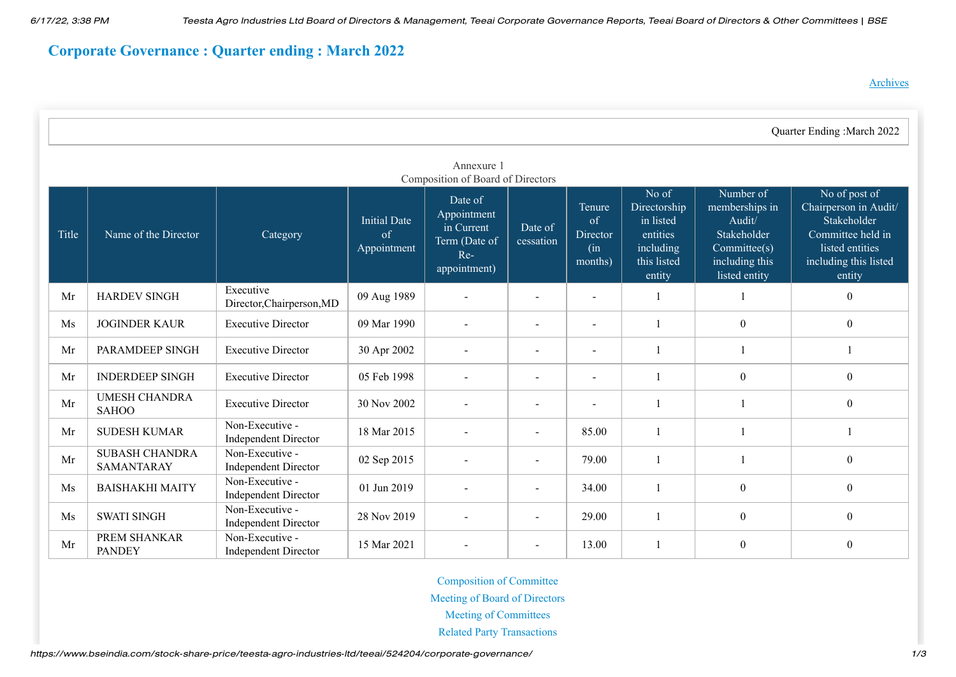# **Corporate Governance : Quarter ending : March 2022**

| Quarter Ending: March 2022                      |                                            |                                                |                                          |                                                                              |                          |                                                    |                                                                                      |                                                                                                         |                                                                                                                                  |  |
|-------------------------------------------------|--------------------------------------------|------------------------------------------------|------------------------------------------|------------------------------------------------------------------------------|--------------------------|----------------------------------------------------|--------------------------------------------------------------------------------------|---------------------------------------------------------------------------------------------------------|----------------------------------------------------------------------------------------------------------------------------------|--|
| Annexure 1<br>Composition of Board of Directors |                                            |                                                |                                          |                                                                              |                          |                                                    |                                                                                      |                                                                                                         |                                                                                                                                  |  |
| Title                                           | Name of the Director                       | Category                                       | <b>Initial Date</b><br>of<br>Appointment | Date of<br>Appointment<br>in Current<br>Term (Date of<br>Re-<br>appointment) | Date of<br>cessation     | Tenure<br>of<br><b>Director</b><br>(in)<br>months) | No of<br>Directorship<br>in listed<br>entities<br>including<br>this listed<br>entity | Number of<br>memberships in<br>Audit/<br>Stakeholder<br>Committee(s)<br>including this<br>listed entity | No of post of<br>Chairperson in Audit/<br>Stakeholder<br>Committee held in<br>listed entities<br>including this listed<br>entity |  |
| Mr                                              | <b>HARDEV SINGH</b>                        | Executive<br>Director, Chairperson, MD         | 09 Aug 1989                              | $\sim$                                                                       | $\sim$                   |                                                    |                                                                                      |                                                                                                         | $\boldsymbol{0}$                                                                                                                 |  |
| Ms                                              | <b>JOGINDER KAUR</b>                       | <b>Executive Director</b>                      | 09 Mar 1990                              | $\blacksquare$                                                               | $\blacksquare$           |                                                    |                                                                                      | $\boldsymbol{0}$                                                                                        | $\overline{0}$                                                                                                                   |  |
| Mr                                              | <b>PARAMDEEP SINGH</b>                     | <b>Executive Director</b>                      | 30 Apr 2002                              | $\blacksquare$                                                               | $\overline{a}$           | $\sim$                                             |                                                                                      |                                                                                                         |                                                                                                                                  |  |
| Mr                                              | <b>INDERDEEP SINGH</b>                     | <b>Executive Director</b>                      | 05 Feb 1998                              | $\overline{\phantom{a}}$                                                     | $\overline{\phantom{a}}$ |                                                    |                                                                                      | $\boldsymbol{0}$                                                                                        | $\boldsymbol{0}$                                                                                                                 |  |
| Mr                                              | <b>UMESH CHANDRA</b><br><b>SAHOO</b>       | <b>Executive Director</b>                      | 30 Nov 2002                              | $\overline{\phantom{a}}$                                                     | $\overline{\phantom{a}}$ |                                                    |                                                                                      |                                                                                                         | $\overline{0}$                                                                                                                   |  |
| Mr                                              | <b>SUDESH KUMAR</b>                        | Non-Executive -<br><b>Independent Director</b> | 18 Mar 2015                              |                                                                              | $\blacksquare$           | 85.00                                              |                                                                                      |                                                                                                         |                                                                                                                                  |  |
| Mr                                              | <b>SUBASH CHANDRA</b><br><b>SAMANTARAY</b> | Non-Executive -<br><b>Independent Director</b> | 02 Sep 2015                              | $\sim$                                                                       | $\sim$                   | 79.00                                              |                                                                                      |                                                                                                         | $\boldsymbol{0}$                                                                                                                 |  |
| Ms                                              | <b>BAISHAKHI MAITY</b>                     | Non-Executive -<br><b>Independent Director</b> | 01 Jun 2019                              | $\blacksquare$                                                               | $\blacksquare$           | 34.00                                              |                                                                                      | $\boldsymbol{0}$                                                                                        | $\boldsymbol{0}$                                                                                                                 |  |
| Ms                                              | <b>SWATI SINGH</b>                         | Non-Executive -<br><b>Independent Director</b> | 28 Nov 2019                              |                                                                              | $\blacksquare$           | 29.00                                              |                                                                                      | $\boldsymbol{0}$                                                                                        | $\boldsymbol{0}$                                                                                                                 |  |
| Mr                                              | PREM SHANKAR<br><b>PANDEY</b>              | Non-Executive -<br><b>Independent Director</b> | 15 Mar 2021                              |                                                                              | $\blacksquare$           | 13.00                                              |                                                                                      | $\boldsymbol{0}$                                                                                        | $\boldsymbol{0}$                                                                                                                 |  |

[Composition of Committee](https://www.bseindia.com/corporates/CompositionOfCommitte.aspx?scripcd=282937&scode=524204&comName=TEESTA%20AGRO%20INDUSTRIES%20LTD.&Qname=March%202022) [Meeting of Board of Directors](https://www.bseindia.com/corporates/MeetingOfBoardOfDirectors.aspx?scripcd=282937&scode=524204&comName=TEESTA%20AGRO%20INDUSTRIES%20LTD.&Qname=March%202022) [Meeting of Committees](https://www.bseindia.com/corporates/MeetingOfCommittees.aspx?scripcd=282937&scode=524204&comName=TEESTA%20AGRO%20INDUSTRIES%20LTD.&Qname=March%202022)

[Related Party Transactions](https://www.bseindia.com/corporates/RelatedPartyTransactions.aspx?scripcd=282937&scode=524204&comName=TEESTA%20AGRO%20INDUSTRIES%20LTD.&Qname=March%202022)

[Archives](https://www.bseindia.com/stock-share-price/teesta-agro-industries-ltd/teeai/524204/flag/7/corporate-governance/)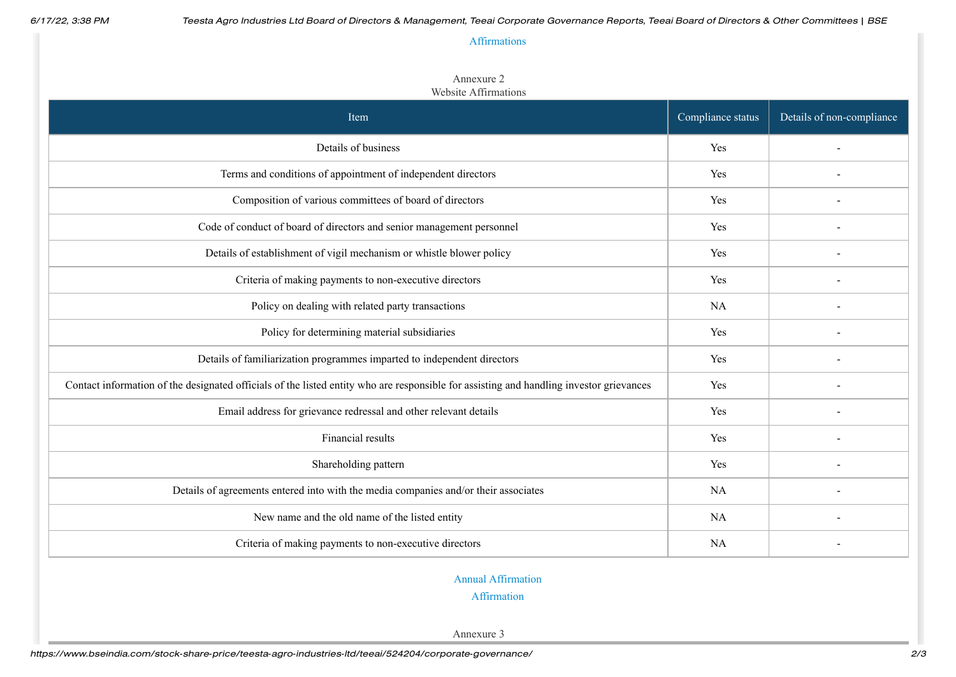## [Affirmations](https://www.bseindia.com/corporates/Affirmations.aspx?scripcd=282937&scode=524204&comName=TEESTA%20AGRO%20INDUSTRIES%20LTD.&Qname=March%202022)

#### Annexure 2 Website Affirmations

| Item                                                                                                                                    | Compliance status | Details of non-compliance |
|-----------------------------------------------------------------------------------------------------------------------------------------|-------------------|---------------------------|
| Details of business                                                                                                                     | Yes               |                           |
| Terms and conditions of appointment of independent directors                                                                            | Yes               |                           |
| Composition of various committees of board of directors                                                                                 | Yes               |                           |
| Code of conduct of board of directors and senior management personnel                                                                   | Yes               |                           |
| Details of establishment of vigil mechanism or whistle blower policy                                                                    | Yes               |                           |
| Criteria of making payments to non-executive directors                                                                                  | Yes               |                           |
| Policy on dealing with related party transactions                                                                                       | <b>NA</b>         |                           |
| Policy for determining material subsidiaries                                                                                            | Yes               |                           |
| Details of familiarization programmes imparted to independent directors                                                                 | Yes               |                           |
| Contact information of the designated officials of the listed entity who are responsible for assisting and handling investor grievances | Yes               |                           |
| Email address for grievance redressal and other relevant details                                                                        | Yes               |                           |
| Financial results                                                                                                                       | Yes               |                           |
| Shareholding pattern                                                                                                                    | Yes               |                           |
| Details of agreements entered into with the media companies and/or their associates                                                     | <b>NA</b>         |                           |
| New name and the old name of the listed entity                                                                                          | <b>NA</b>         |                           |
| Criteria of making payments to non-executive directors                                                                                  | <b>NA</b>         |                           |

# [Annual Affirmation](https://www.bseindia.com/corporates/AnnualAffirmation.aspx?scripcd=282937&scode=524204&comName=TEESTA%20AGRO%20INDUSTRIES%20LTD.&Qname=March%202022)

### [Affirmation](https://www.bseindia.com/corporates/Affirmation.aspx?scripcd=282937&scode=524204&comName=TEESTA%20AGRO%20INDUSTRIES%20LTD.&Qname=March%202022)

Annexure 3